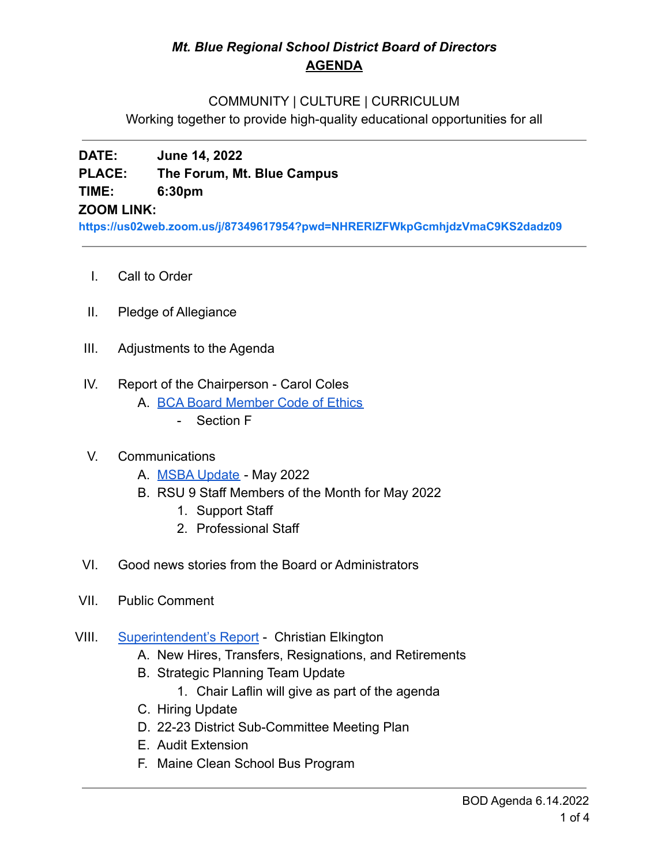## *Mt. Blue Regional School District Board of Directors* **AGENDA**

#### COMMUNITY | CULTURE | CURRICULUM

Working together to provide high-quality educational opportunities for all

# **DATE: June 14, 2022 PLACE: The Forum, Mt. Blue Campus TIME: 6:30pm**

#### **ZOOM LINK:**

**<https://us02web.zoom.us/j/87349617954?pwd=NHRERlZFWkpGcmhjdzVmaC9KS2dadz09>**

- I. Call to Order
- II. Pledge of Allegiance
- III. Adjustments to the Agenda
- IV. Report of the Chairperson Carol Coles
	- A. [BCA Board Member Code of Ethics](https://cdn.branchcms.com/yeQ4XpK43n-1155/docs/district/board-of-directors/policy-manual/section-b/BCA-Board-Member-Code-of-Ethics.pdf)
		- Section F

## V. Communications

- A. [MSBA Update](https://drive.google.com/file/d/11pxD8pIa10t1xdXPMYxlPN2bJbJUzUAM/view?usp=sharing) May 2022
- B. RSU 9 Staff Members of the Month for May 2022
	- 1. Support Staff
	- 2. Professional Staff
- VI. Good news stories from the Board or Administrators
- VII. Public Comment
- VIII. [Superintendent's Report](https://drive.google.com/file/d/1qmXXoTOoT7c7kkdPESbAfBwAAm-2pUMS/view?usp=sharing) Christian Elkington
	- A. New Hires, Transfers, Resignations, and Retirements
	- B. Strategic Planning Team Update
		- 1. Chair Laflin will give as part of the agenda
	- C. Hiring Update
	- D. 22-23 District Sub-Committee Meeting Plan
	- E. Audit Extension
	- F. Maine Clean School Bus Program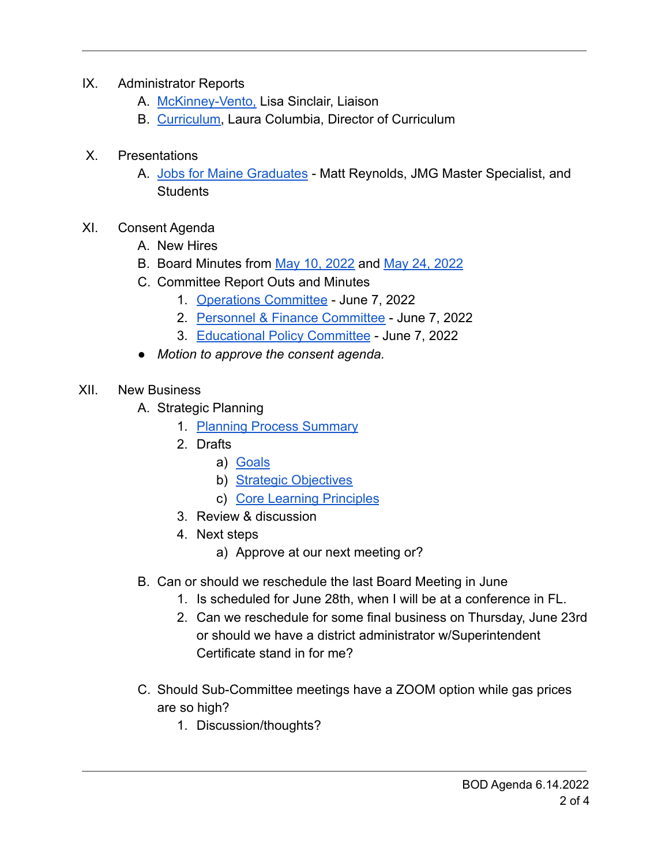- IX. Administrator Reports
	- A. [McKinney-Vento,](https://drive.google.com/file/d/1E6r1SwDc6ZUPsAY7cqHTyACoqB8qn3iD/view?usp=sharing) Lisa Sinclair, Liaison
	- B. [Curriculum](https://drive.google.com/file/d/1LAU6cslWGVv0jPQZV4hmg1kNGMZM5Xkg/view?usp=sharing), Laura Columbia, Director of Curriculum
- X. Presentations
	- A. [Jobs for Maine Graduates](https://drive.google.com/file/d/1abQEuG58O709hggQN4r-F3wYt91FO6ek/view?usp=sharing) Matt Reynolds, JMG Master Specialist, and Students
- XI. Consent Agenda
	- A. New Hires
	- B. Board Minutes from [May 10, 2022](https://drive.google.com/file/d/1Q5EEMYLXsJtjFpCPGg4QkH-_eA38MyWN/view?usp=sharing) and [May 24, 2022](https://drive.google.com/file/d/1_PDJLby7JAK7PgpIUK2hXXKP9K-OCvs5/view?usp=sharing)
	- C. Committee Report Outs and Minutes
		- 1. [Operations Committee](https://drive.google.com/file/d/1n4EilO_AjYEJNzWWUILSgfYClFogPbKj/view?usp=sharing) June 7, 2022
		- 2. [Personnel & Finance Committee](https://drive.google.com/file/d/1KDwrjj6uOhKxNY3hnfU81Whm0ydfEibe/view?usp=sharing) June 7, 2022
		- 3. [Educational Policy Committee](https://drive.google.com/file/d/1QiOD5P6QETu5l7kpGRV5aU2GYWHlGuUl/view?usp=sharing) June 7, 2022
	- *Motion to approve the consent agenda.*
- XII. New Business
	- A. Strategic Planning
		- 1. [Planning Process Summary](https://drive.google.com/file/d/1_UzVKuQfReAYYRJSeD9BGhMuRKCht2q7/view?usp=sharing)
		- 2. Drafts
			- a) [Goals](https://drive.google.com/file/d/1uoZSI5OgzslgRUHLcoMEf-CZhAmTLN37/view?usp=sharing)
			- b) [Strategic Objectives](https://drive.google.com/file/d/1T5B5npm3GC6of7ORnlpJgMv2-P7y6s9p/view?usp=sharing)
			- c) [Core Learning Principles](https://drive.google.com/file/d/16_jGBu9SZKT7QPrzkGGik6ZVRKAp9C99/view?usp=sharing)
		- 3. Review & discussion
		- 4. Next steps
			- a) Approve at our next meeting or?
	- B. Can or should we reschedule the last Board Meeting in June
		- 1. Is scheduled for June 28th, when I will be at a conference in FL.
		- 2. Can we reschedule for some final business on Thursday, June 23rd or should we have a district administrator w/Superintendent Certificate stand in for me?
	- C. Should Sub-Committee meetings have a ZOOM option while gas prices are so high?
		- 1. Discussion/thoughts?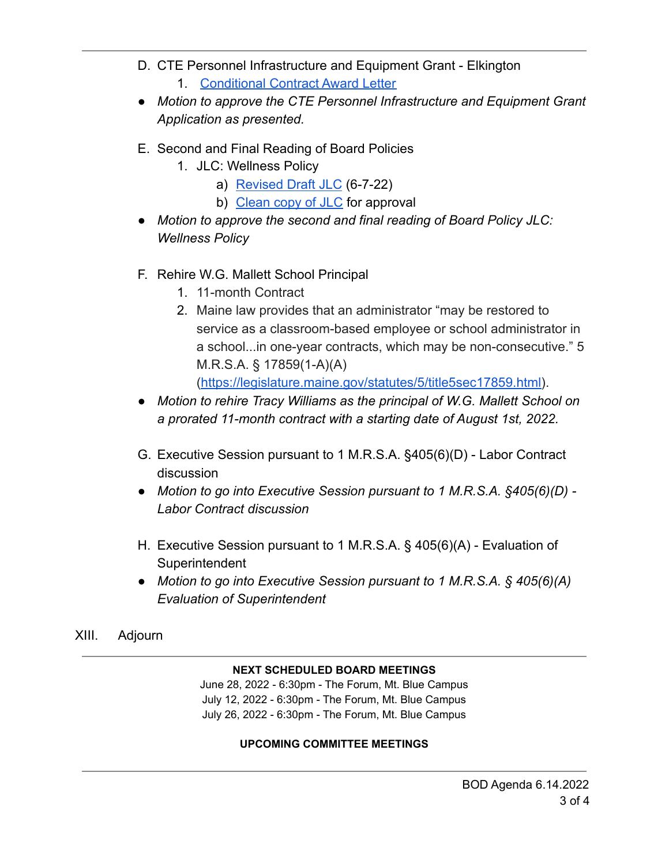- D. CTE Personnel Infrastructure and Equipment Grant Elkington
	- 1. [Conditional Contract Award Letter](https://drive.google.com/file/d/1iMfo0n4NJBWfk447fjCsVvJNZEcGWwtm/view?usp=sharing)
- *● Motion to approve the CTE Personnel Infrastructure and Equipment Grant Application as presented.*
- E. Second and Final Reading of Board Policies
	- 1. JLC: Wellness Policy
		- a) [Revised Draft JLC](https://drive.google.com/file/d/1UNLwUPrkVz01B1BmkcLmEUEUKLznzdhP/view?usp=sharing) (6-7-22)
		- b) [Clean copy of JLC](https://drive.google.com/file/d/14ngg6Zr6UWYgPK-jsqENLYvfxseo022A/view?usp=sharing) for approval
- *● Motion to approve the second and final reading of Board Policy JLC: Wellness Policy*
- F. Rehire W.G. Mallett School Principal
	- 1. 11-month Contract
	- 2. Maine law provides that an administrator "may be restored to service as a classroom-based employee or school administrator in a school...in one-year contracts, which may be non-consecutive." 5 M.R.S.A. § 17859(1-A)(A) ([https://legislature.maine.gov/statutes/5/title5sec17859.html\)](https://legislature.maine.gov/statutes/5/title5sec17859.html).
- *● Motion to rehire Tracy Williams as the principal of W.G. Mallett School on a prorated 11-month contract with a starting date of August 1st, 2022.*
- G. Executive Session pursuant to 1 M.R.S.A. §405(6)(D) Labor Contract discussion
- *● Motion to go into Executive Session pursuant to 1 M.R.S.A. §405(6)(D) - Labor Contract discussion*
- H. Executive Session pursuant to 1 M.R.S.A. § 405(6)(A) Evaluation of **Superintendent**
- *● Motion to go into Executive Session pursuant to 1 M.R.S.A. § 405(6)(A) Evaluation of Superintendent*

## XIII. Adjourn

#### **NEXT SCHEDULED BOARD MEETINGS**

June 28, 2022 - 6:30pm - The Forum, Mt. Blue Campus July 12, 2022 - 6:30pm - The Forum, Mt. Blue Campus July 26, 2022 - 6:30pm - The Forum, Mt. Blue Campus

#### **UPCOMING COMMITTEE MEETINGS**